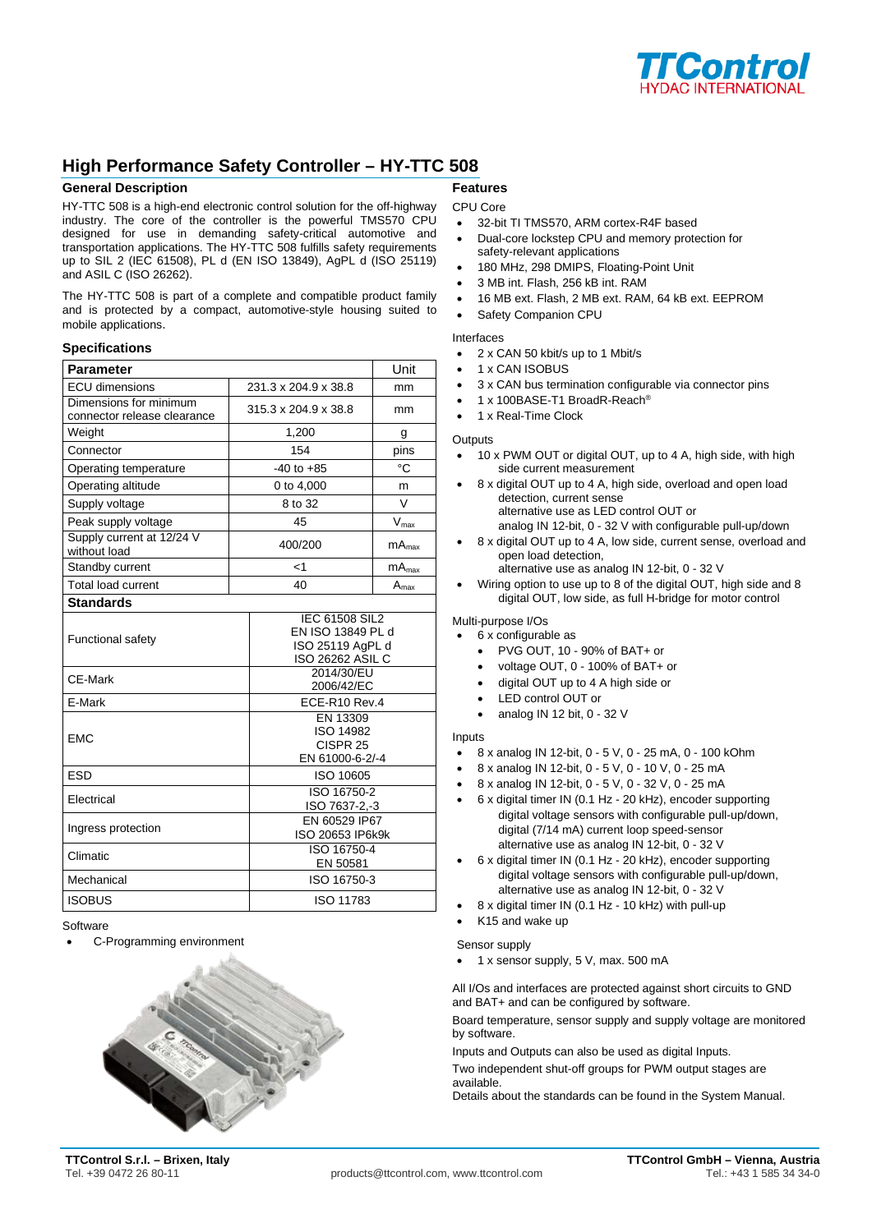

# **High Performance Safety Controller – HY-TTC 508**

#### **General Description**

HY-TTC 508 is a high-end electronic control solution for the off-highway industry. The core of the controller is the powerful TMS570 CPU designed for use in demanding safety-critical automotive and transportation applications. The HY-TTC 508 fulfills safety requirements up to SIL 2 (IEC 61508), PL d (EN ISO 13849), AgPL d (ISO 25119) and ASIL C (ISO 26262).

The HY-TTC 508 is part of a complete and compatible product family and is protected by a compact, automotive-style housing suited to mobile applications.

#### **Specifications**

| <b>Parameter</b>                                      |                      |                                                                             | Unit              |
|-------------------------------------------------------|----------------------|-----------------------------------------------------------------------------|-------------------|
| <b>ECU</b> dimensions                                 | 231.3 x 204.9 x 38.8 |                                                                             | mm                |
| Dimensions for minimum<br>connector release clearance |                      | 315.3 x 204.9 x 38.8                                                        | mm                |
| Weight                                                | 1,200                |                                                                             | g                 |
| Connector                                             | 154                  |                                                                             | pins              |
| Operating temperature                                 | $-40$ to $+85$       |                                                                             | °C                |
| Operating altitude                                    | 0 to 4,000           |                                                                             | m                 |
| Supply voltage                                        | 8 to 32              |                                                                             | V                 |
| Peak supply voltage                                   | 45                   |                                                                             | $V_{\text{max}}$  |
| Supply current at 12/24 V<br>without load             |                      | 400/200                                                                     | mA <sub>max</sub> |
| Standby current                                       |                      | <1                                                                          | mA <sub>max</sub> |
| <b>Total load current</b>                             |                      | 40                                                                          | $A_{\text{max}}$  |
| <b>Standards</b>                                      |                      |                                                                             |                   |
| <b>Functional safety</b>                              |                      | IEC 61508 SIL2<br>EN ISO 13849 PL d<br>ISO 25119 AgPL d<br>ISO 26262 ASIL C |                   |
| CE-Mark                                               |                      | 2014/30/EU<br>2006/42/EC                                                    |                   |
| E-Mark                                                |                      | ECE-R10 Rev.4                                                               |                   |
| <b>EMC</b>                                            |                      | EN 13309<br>ISO 14982<br>CISPR <sub>25</sub><br>EN 61000-6-2/-4             |                   |
| <b>ESD</b>                                            |                      | ISO 10605                                                                   |                   |
| Electrical                                            |                      | ISO 16750-2<br>ISO 7637-2,-3                                                |                   |
| Ingress protection                                    |                      | EN 60529 IP67<br>ISO 20653 IP6k9k                                           |                   |
| Climatic                                              |                      | ISO 16750-4<br>EN 50581                                                     |                   |
| Mechanical                                            |                      | ISO 16750-3                                                                 |                   |
| <b>ISOBUS</b>                                         |                      | ISO 11783                                                                   |                   |

Software

• C-Programming environment



### **Features**

- CPU Core • 32-bit TI TMS570, ARM cortex-R4F based
- Dual-core lockstep CPU and memory protection for safety-relevant applications
- 180 MHz, 298 DMIPS, Floating-Point Unit
- 3 MB int. Flash, 256 kB int. RAM
- 16 MB ext. Flash, 2 MB ext. RAM, 64 kB ext. EEPROM
- Safety Companion CPU

## Interfaces

- 2 x CAN 50 kbit/s up to 1 Mbit/s
- 1 x CAN ISOBUS
- 3 x CAN bus termination configurable via connector pins
- 1 x 100BASE-T1 BroadR-Reach®
- 1 x Real-Time Clock

### **Outputs**

- 10 x PWM OUT or digital OUT, up to 4 A, high side, with high side current measurement
- 8 x digital OUT up to 4 A, high side, overload and open load detection, current sense alternative use as LED control OUT or
	- analog IN 12-bit, 0 32 V with configurable pull-up/down
- 8 x digital OUT up to 4 A, low side, current sense, overload and open load detection, alternative use as analog IN 12-bit, 0 - 32 V
- Wiring option to use up to 8 of the digital OUT, high side and 8 digital OUT, low side, as full H-bridge for motor control

Multi-purpose I/Os

- 6 x configurable as
	- PVG OUT, 10 90% of BAT+ or
	- voltage OUT, 0 100% of BAT+ or
	- digital OUT up to 4 A high side or
	- LED control OUT or
	- analog IN 12 bit, 0 32 V

#### Inputs

- 8 x analog IN 12-bit, 0 5 V, 0 25 mA, 0 100 kOhm
- 8 x analog IN 12-bit, 0 5 V, 0 10 V, 0 25 mA
- 8 x analog IN 12-bit, 0 5 V, 0 32 V, 0 25 mA
- 6 x digital timer IN (0.1 Hz 20 kHz), encoder supporting digital voltage sensors with configurable pull-up/down, digital (7/14 mA) current loop speed-sensor alternative use as analog IN 12-bit, 0 - 32 V
- 6 x digital timer IN (0.1 Hz 20 kHz), encoder supporting digital voltage sensors with configurable pull-up/down, alternative use as analog IN 12-bit, 0 - 32 V
- 8 x digital timer IN (0.1 Hz 10 kHz) with pull-up
- Sensor supply

• K15 and wake up

• 1 x sensor supply, 5 V, max. 500 mA

All I/Os and interfaces are protected against short circuits to GND and BAT+ and can be configured by software.

Board temperature, sensor supply and supply voltage are monitored by software.

Inputs and Outputs can also be used as digital Inputs.

Two independent shut-off groups for PWM output stages are available.

Details about the standards can be found in the System Manual.